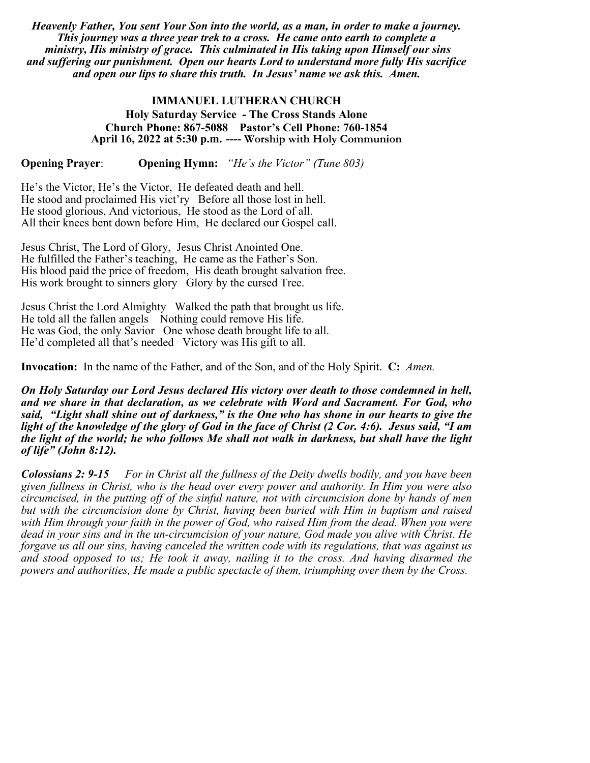*Heavenly Father, You sent Your Son into the world, as a man, in order to make a journey. This journey was a three year trek to a cross. He came onto earth to complete a ministry, His ministry of grace. This culminated in His taking upon Himself our sins and suffering our punishment. Open our hearts Lord to understand more fully His sacrifice and open our lips to share this truth. In Jesus' name we ask this. Amen.*

## **IMMANUEL LUTHERAN CHURCH Holy Saturday Service - The Cross Stands Alone Church Phone: 867-5088 Pastor's Cell Phone: 760-1854 April 16, 2022 at 5:30 p.m. ---- Worship with Holy Communion**

#### **Opening Prayer**: **Opening Hymn:** *"He's the Victor" (Tune 803)*

He's the Victor, He's the Victor, He defeated death and hell. He stood and proclaimed His vict'ry Before all those lost in hell. He stood glorious, And victorious, He stood as the Lord of all. All their knees bent down before Him, He declared our Gospel call.

Jesus Christ, The Lord of Glory, Jesus Christ Anointed One. He fulfilled the Father's teaching, He came as the Father's Son. His blood paid the price of freedom, His death brought salvation free. His work brought to sinners glory Glory by the cursed Tree.

Jesus Christ the Lord Almighty Walked the path that brought us life. He told all the fallen angels Nothing could remove His life. He was God, the only Savior One whose death brought life to all. He'd completed all that's needed Victory was His gift to all.

**Invocation:** In the name of the Father, and of the Son, and of the Holy Spirit. **C:** *Amen.*

*On Holy Saturday our Lord Jesus declared His victory over death to those condemned in hell, and we share in that declaration, as we celebrate with Word and Sacrament. For God, who said, "Light shall shine out of darkness," is the One who has shone in our hearts to give the light of the knowledge of the glory of God in the face of Christ (2 Cor. 4:6). Jesus said, "I am the light of the world; he who follows Me shall not walk in darkness, but shall have the light of life" (John 8:12).* 

*Colossians 2: 9-15 For in Christ all the fullness of the Deity dwells bodily, and you have been given fullness in Christ, who is the head over every power and authority. In Him you were also circumcised, in the putting off of the sinful nature, not with circumcision done by hands of men but with the circumcision done by Christ, having been buried with Him in baptism and raised with Him through your faith in the power of God, who raised Him from the dead. When you were dead in your sins and in the un-circumcision of your nature, God made you alive with Christ. He forgave us all our sins, having canceled the written code with its regulations, that was against us*  and stood opposed to us; He took it away, nailing it to the cross. And having disarmed the *powers and authorities, He made a public spectacle of them, triumphing over them by the Cross.*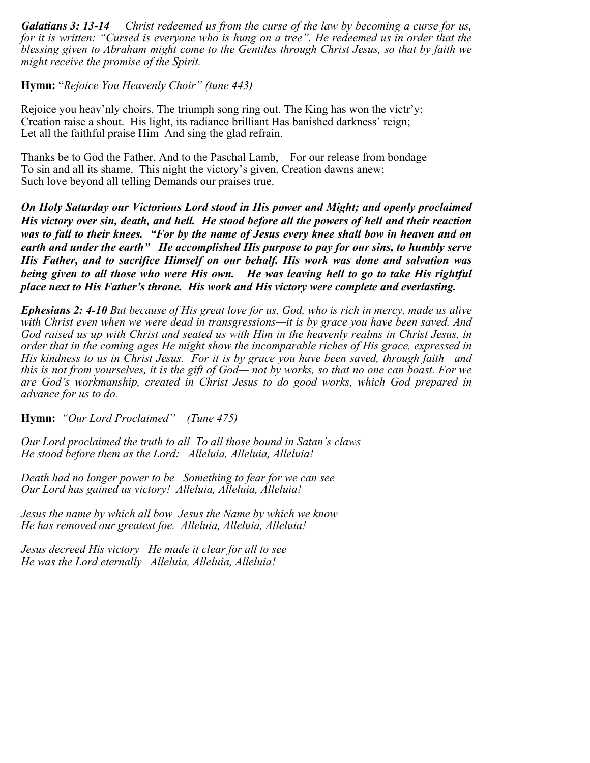*Galatians 3: 13-14 Christ redeemed us from the curse of the law by becoming a curse for us, for it is written: "Cursed is everyone who is hung on a tree". He redeemed us in order that the blessing given to Abraham might come to the Gentiles through Christ Jesus, so that by faith we might receive the promise of the Spirit.* 

**Hymn:** "*Rejoice You Heavenly Choir" (tune 443)*

Rejoice you heav'nly choirs, The triumph song ring out. The King has won the victr'y; Creation raise a shout. His light, its radiance brilliant Has banished darkness' reign; Let all the faithful praise Him And sing the glad refrain.

Thanks be to God the Father, And to the Paschal Lamb, For our release from bondage To sin and all its shame. This night the victory's given, Creation dawns anew; Such love beyond all telling Demands our praises true.

*On Holy Saturday our Victorious Lord stood in His power and Might; and openly proclaimed His victory over sin, death, and hell. He stood before all the powers of hell and their reaction was to fall to their knees. "For by the name of Jesus every knee shall bow in heaven and on earth and under the earth" He accomplished His purpose to pay for our sins, to humbly serve His Father, and to sacrifice Himself on our behalf. His work was done and salvation was being given to all those who were His own. He was leaving hell to go to take His rightful place next to His Father's throne. His work and His victory were complete and everlasting.*

*Ephesians 2: 4-10 But because of His great love for us, God, who is rich in mercy, made us alive with Christ even when we were dead in transgressions—it is by grace you have been saved. And God raised us up with Christ and seated us with Him in the heavenly realms in Christ Jesus, in order that in the coming ages He might show the incomparable riches of His grace, expressed in His kindness to us in Christ Jesus. For it is by grace you have been saved, through faith—and this is not from yourselves, it is the gift of God— not by works, so that no one can boast. For we are God's workmanship, created in Christ Jesus to do good works, which God prepared in advance for us to do.* 

**Hymn:** *"Our Lord Proclaimed" (Tune 475)*

*Our Lord proclaimed the truth to all To all those bound in Satan's claws He stood before them as the Lord: Alleluia, Alleluia, Alleluia!*

*Death had no longer power to be Something to fear for we can see Our Lord has gained us victory! Alleluia, Alleluia, Alleluia!*

*Jesus the name by which all bow Jesus the Name by which we know He has removed our greatest foe. Alleluia, Alleluia, Alleluia!*

*Jesus decreed His victory He made it clear for all to see He was the Lord eternally Alleluia, Alleluia, Alleluia!*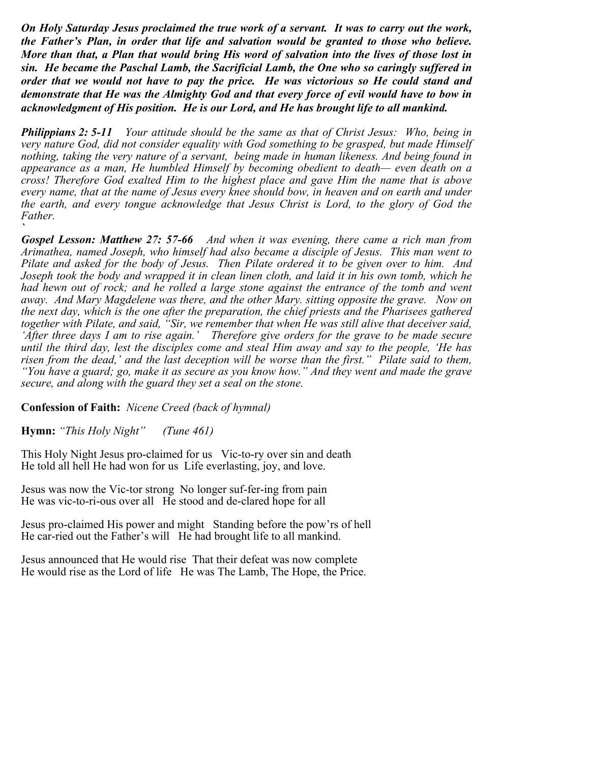*On Holy Saturday Jesus proclaimed the true work of a servant. It was to carry out the work, the Father's Plan, in order that life and salvation would be granted to those who believe. More than that, a Plan that would bring His word of salvation into the lives of those lost in sin. He became the Paschal Lamb, the Sacrificial Lamb, the One who so caringly suffered in order that we would not have to pay the price. He was victorious so He could stand and demonstrate that He was the Almighty God and that every force of evil would have to bow in acknowledgment of His position. He is our Lord, and He has brought life to all mankind.*

*Philippians 2: 5-11 Your attitude should be the same as that of Christ Jesus: Who, being in very nature God, did not consider equality with God something to be grasped, but made Himself nothing, taking the very nature of a servant, being made in human likeness. And being found in appearance as a man, He humbled Himself by becoming obedient to death— even death on a cross! Therefore God exalted Him to the highest place and gave Him the name that is above every name, that at the name of Jesus every knee should bow, in heaven and on earth and under the earth, and every tongue acknowledge that Jesus Christ is Lord, to the glory of God the Father.* 

*` Gospel Lesson: Matthew 27: 57-66 And when it was evening, there came a rich man from Arimathea, named Joseph, who himself had also became a disciple of Jesus. This man went to Pilate and asked for the body of Jesus. Then Pilate ordered it to be given over to him. And Joseph took the body and wrapped it in clean linen cloth, and laid it in his own tomb, which he*  had hewn out of rock; and he rolled a large stone against the entrance of the tomb and went *away. And Mary Magdelene was there, and the other Mary. sitting opposite the grave. Now on the next day, which is the one after the preparation, the chief priests and the Pharisees gathered together with Pilate, and said, "Sir, we remember that when He was still alive that deceiver said, 'After three days I am to rise again.' Therefore give orders for the grave to be made secure until the third day, lest the disciples come and steal Him away and say to the people, 'He has risen from the dead,' and the last deception will be worse than the first." Pilate said to them, "You have a guard; go, make it as secure as you know how." And they went and made the grave secure, and along with the guard they set a seal on the stone.*

**Confession of Faith:** *Nicene Creed (back of hymnal)*

**Hymn:** *"This Holy Night" (Tune 461)*

This Holy Night Jesus pro-claimed for us Vic-to-ry over sin and death He told all hell He had won for us Life everlasting, joy, and love.

Jesus was now the Vic-tor strong No longer suf-fer-ing from pain He was vic-to-ri-ous over all He stood and de-clared hope for all

Jesus pro-claimed His power and might Standing before the pow'rs of hell He car-ried out the Father's will He had brought life to all mankind.

Jesus announced that He would rise That their defeat was now complete He would rise as the Lord of life He was The Lamb, The Hope, the Price.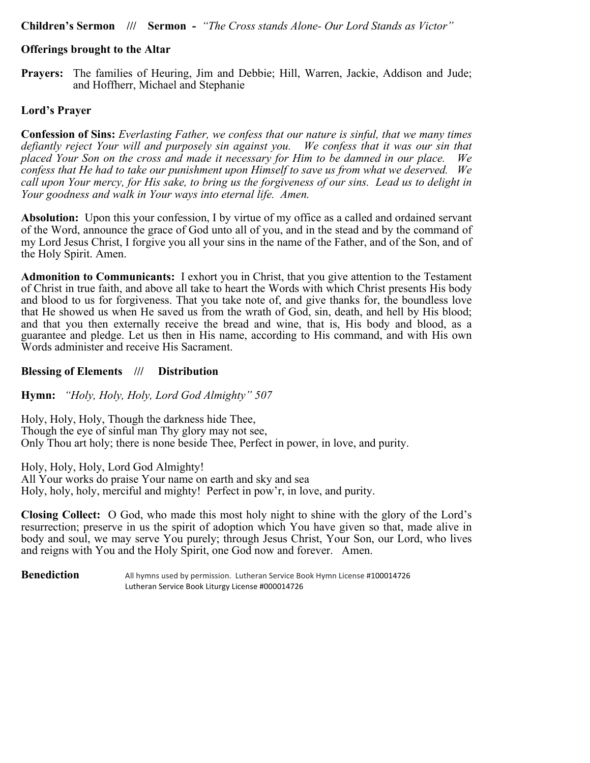**Children's Sermon /// Sermon -** *"The Cross stands Alone- Our Lord Stands as Victor"*

# **Offerings brought to the Altar**

**Prayers:** The families of Heuring, Jim and Debbie; Hill, Warren, Jackie, Addison and Jude; and Hoffherr, Michael and Stephanie

# **Lord's Prayer**

**Confession of Sins:** *Everlasting Father, we confess that our nature is sinful, that we many times defiantly reject Your will and purposely sin against you. We confess that it was our sin that placed Your Son on the cross and made it necessary for Him to be damned in our place. We confess that He had to take our punishment upon Himself to save us from what we deserved. We call upon Your mercy, for His sake, to bring us the forgiveness of our sins. Lead us to delight in Your goodness and walk in Your ways into eternal life. Amen.*

**Absolution:** Upon this your confession, I by virtue of my office as a called and ordained servant of the Word, announce the grace of God unto all of you, and in the stead and by the command of my Lord Jesus Christ, I forgive you all your sins in the name of the Father, and of the Son, and of the Holy Spirit. Amen.

**Admonition to Communicants:** I exhort you in Christ, that you give attention to the Testament of Christ in true faith, and above all take to heart the Words with which Christ presents His body and blood to us for forgiveness. That you take note of, and give thanks for, the boundless love that He showed us when He saved us from the wrath of God, sin, death, and hell by His blood; and that you then externally receive the bread and wine, that is, His body and blood, as a guarantee and pledge. Let us then in His name, according to His command, and with His own Words administer and receive His Sacrament.

## **Blessing of Elements /// Distribution**

**Hymn:** *"Holy, Holy, Holy, Lord God Almighty" 507*

Holy, Holy, Holy, Though the darkness hide Thee, Though the eye of sinful man Thy glory may not see, Only Thou art holy; there is none beside Thee, Perfect in power, in love, and purity.

Holy, Holy, Holy, Lord God Almighty! All Your works do praise Your name on earth and sky and sea Holy, holy, holy, merciful and mighty! Perfect in pow'r, in love, and purity.

**Closing Collect:** O God, who made this most holy night to shine with the glory of the Lord's resurrection; preserve in us the spirit of adoption which You have given so that, made alive in body and soul, we may serve You purely; through Jesus Christ, Your Son, our Lord, who lives and reigns with You and the Holy Spirit, one God now and forever. Amen.

**Benediction** All hymns used by permission. Lutheran Service Book Hymn License #100014726 Lutheran Service Book Liturgy License #000014726